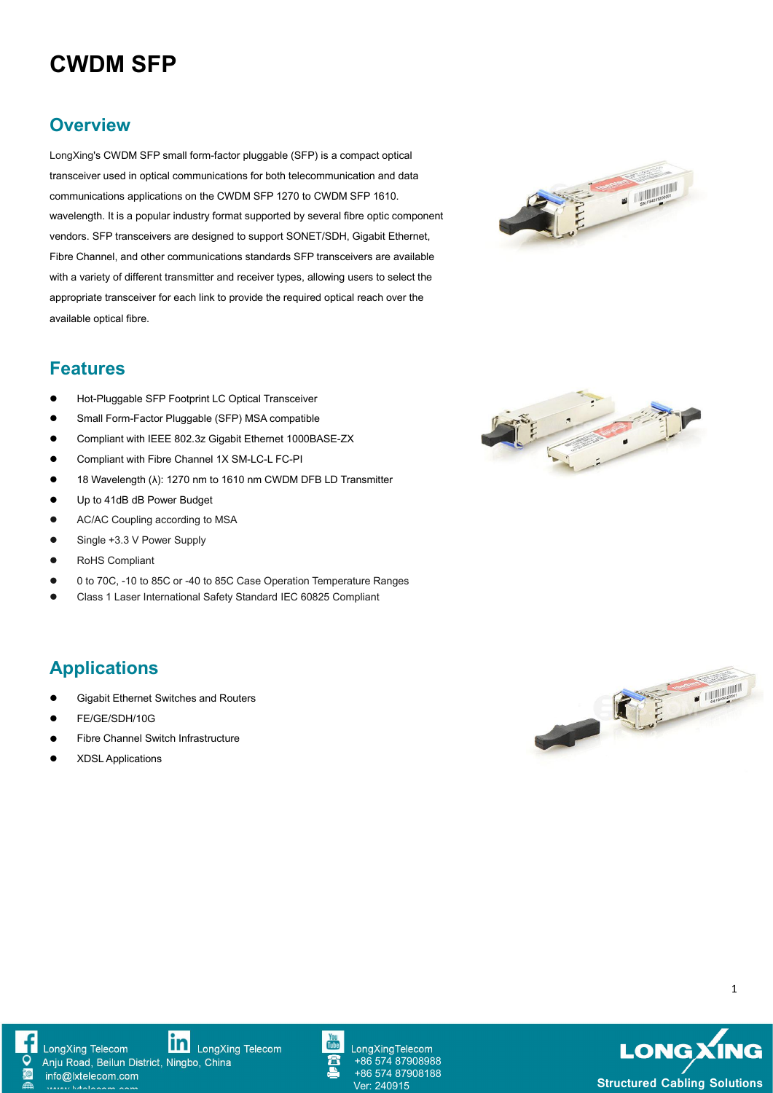# **CWDM SFP**

#### **Overview**

LongXing's CWDM SFP small form-factor pluggable (SFP) is a compact optical transceiver used in optical communications for both telecommunication and data communications applications on the CWDM SFP 1270 to CWDM SFP 1610. wavelength. It is a popular industry format supported by several fibre optic component vendors. SFP transceivers are designed to support SONET/SDH, Gigabit Ethernet, Fibre Channel, and other communications standards SFP transceivers are available with a variety of different transmitter and receiver types, allowing users to select the appropriate transceiver for each link to provide the required optical reach over the available optical fibre.



#### **Features**

- Hot-Pluggable SFP Footprint LC Optical Transceiver
- Small Form-Factor Pluggable (SFP) MSA compatible
- **Compliant with IEEE 802.3z Gigabit Ethernet 1000BASE-ZX**
- **Compliant with Fibre Channel 1X SM-LC-L FC-PI**
- 18 Wavelength (λ): 1270 nm to 1610 nm CWDM DFB LD Transmitter
- Up to 41dB dB Power Budget
- **AC/AC Coupling according to MSA**
- Single +3.3 V Power Supply
- RoHS Compliant
- 0 to70C, -10 to 85C or -40 to 85C Case Operation Temperature Ranges
- Class 1 Laser International Safety Standard IEC 60825 Compliant

### **Applications**

- Gigabit Ethernet Switches and Routers
- FE/GE/SDH/10G
- Fibre Channel Switch Infrastructure
- XDSL Applications









**in** LongXing Telecom



LongXingTelecom +86 574 87908988 +86 574 87908188

**LONGXING Structured Cabling Solutions** 

1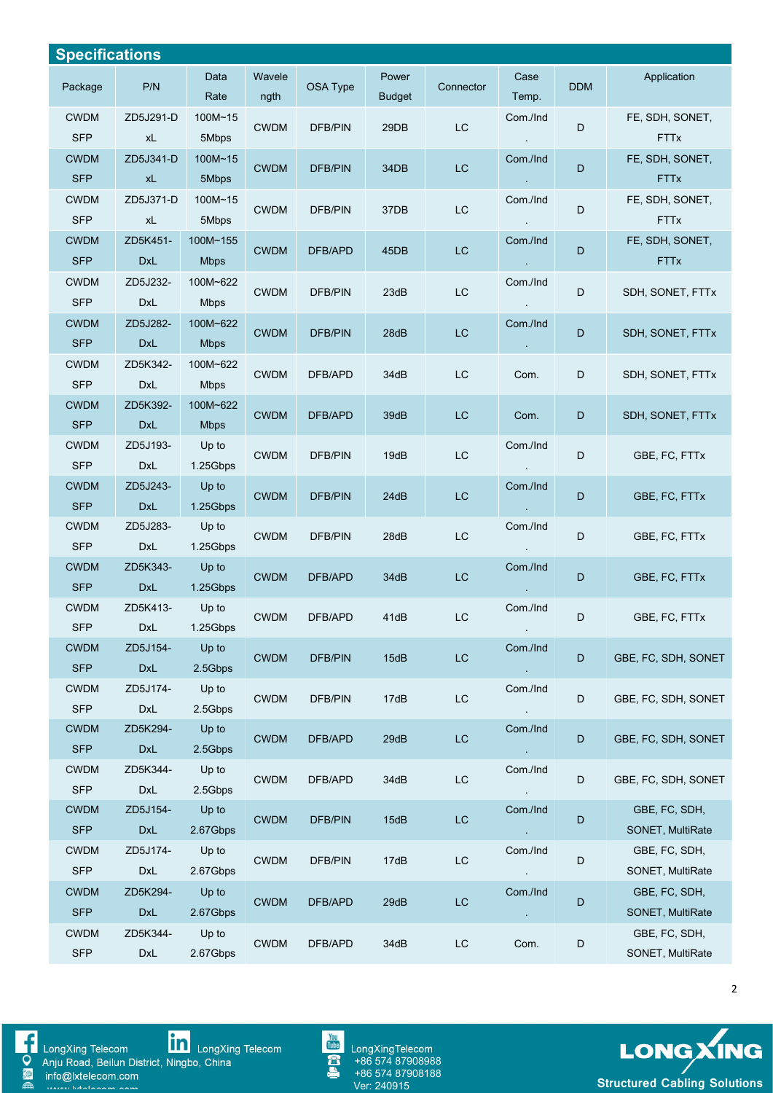| <b>Specifications</b>     |                        |                         |                |                |                        |               |                        |             |                                   |
|---------------------------|------------------------|-------------------------|----------------|----------------|------------------------|---------------|------------------------|-------------|-----------------------------------|
| Package                   | P/N                    | Data<br>Rate            | Wavele<br>ngth | OSA Type       | Power<br><b>Budget</b> | Connector     | Case<br>Temp.          | <b>DDM</b>  | Application                       |
| <b>CWDM</b><br><b>SFP</b> | ZD5J291-D<br>xL        | 100M~15<br>5Mbps        | <b>CWDM</b>    | DFB/PIN        | 29DB                   | $\mathsf{LC}$ | Com./Ind               | D           | FE, SDH, SONET,<br><b>FTTx</b>    |
| <b>CWDM</b><br><b>SFP</b> | ZD5J341-D<br>xL        | 100M~15<br>5Mbps        | <b>CWDM</b>    | <b>DFB/PIN</b> | 34DB                   | $_{\rm LC}$   | Com./Ind               | D           | FE, SDH, SONET,<br><b>FTTx</b>    |
| <b>CWDM</b><br><b>SFP</b> | ZD5J371-D<br>xL        | $100M - 15$<br>5Mbps    | <b>CWDM</b>    | DFB/PIN        | 37DB                   | $\mathsf{LC}$ | Com./Ind               | D           | FE, SDH, SONET,<br><b>FTTx</b>    |
| <b>CWDM</b><br><b>SFP</b> | ZD5K451-<br><b>DxL</b> | 100M~155<br><b>Mbps</b> | <b>CWDM</b>    | DFB/APD        | 45DB                   | <b>LC</b>     | Com./Ind               | D           | FE, SDH, SONET,<br><b>FTTx</b>    |
| <b>CWDM</b><br><b>SFP</b> | ZD5J232-<br>DxL        | 100M~622<br><b>Mbps</b> | <b>CWDM</b>    | DFB/PIN        | 23dB                   | LC            | Com./Ind               | D           | SDH, SONET, FTTx                  |
| <b>CWDM</b><br><b>SFP</b> | ZD5J282-<br><b>DxL</b> | 100M~622<br><b>Mbps</b> | <b>CWDM</b>    | <b>DFB/PIN</b> | 28dB                   | $\mathsf{LC}$ | Com./Ind               | D           | SDH, SONET, FTTx                  |
| <b>CWDM</b><br><b>SFP</b> | ZD5K342-<br><b>DxL</b> | 100M~622<br><b>Mbps</b> | <b>CWDM</b>    | DFB/APD        | 34dB                   | $\mathsf{LC}$ | Com.                   | D           | SDH, SONET, FTTx                  |
| <b>CWDM</b><br><b>SFP</b> | ZD5K392-<br><b>DxL</b> | 100M~622<br><b>Mbps</b> | <b>CWDM</b>    | DFB/APD        | 39dB                   | <b>LC</b>     | Com.                   | D           | SDH, SONET, FTTx                  |
| <b>CWDM</b><br><b>SFP</b> | ZD5J193-<br>DxL        | Up to<br>1.25Gbps       | <b>CWDM</b>    | <b>DFB/PIN</b> | 19dB                   | <b>LC</b>     | Com./Ind               | D           | GBE, FC, FTTx                     |
| <b>CWDM</b><br><b>SFP</b> | ZD5J243-<br><b>DxL</b> | Up to<br>1.25Gbps       | <b>CWDM</b>    | <b>DFB/PIN</b> | 24dB                   | LC            | Com./Ind               | D           | GBE, FC, FTTx                     |
| <b>CWDM</b><br><b>SFP</b> | ZD5J283-<br>DxL        | Up to<br>1.25Gbps       | <b>CWDM</b>    | DFB/PIN        | 28dB                   | $\mathsf{LC}$ | Com./Ind               | D           | GBE, FC, FTTx                     |
| <b>CWDM</b><br><b>SFP</b> | ZD5K343-<br><b>DxL</b> | $Up$ to<br>1.25Gbps     | <b>CWDM</b>    | DFB/APD        | 34dB                   | LC            | Com./Ind<br>$\sim$     | D.          | GBE, FC, FTTx                     |
| <b>CWDM</b><br><b>SFP</b> | ZD5K413-<br>DxL        | Up to<br>1.25Gbps       | <b>CWDM</b>    | DFB/APD        | 41dB                   | LC            | Com./Ind<br>$\sim$     | D           | GBE, FC, FTTx                     |
| <b>CWDM</b><br><b>SFP</b> | ZD5J154-<br><b>DxL</b> | Up to<br>2.5Gbps        | <b>CWDM</b>    | DFB/PIN        | 15dB                   | $\mathsf{LC}$ | Com./Ind<br>♦          | $\mathsf D$ | GBE, FC, SDH, SONET               |
| <b>CWDM</b><br><b>SFP</b> | ZD5J174-<br>DxL        | Up to<br>2.5Gbps        | <b>CWDM</b>    | <b>DFB/PIN</b> | 17dB                   | $\mathsf{LC}$ | Com./Ind<br>$\sim$     | D           | GBE, FC, SDH, SONET               |
| <b>CWDM</b><br><b>SFP</b> | ZD5K294-<br><b>DxL</b> | Up to<br>2.5Gbps        | <b>CWDM</b>    | DFB/APD        | 29dB                   | $\mathsf{LC}$ | Com./Ind<br>$\sim$     | D           | GBE, FC, SDH, SONET               |
| <b>CWDM</b><br><b>SFP</b> | ZD5K344-<br>DxL        | Up to<br>2.5Gbps        | <b>CWDM</b>    | DFB/APD        | 34dB                   | $\mathsf{LC}$ | Com./Ind               | D           | GBE, FC, SDH, SONET               |
| <b>CWDM</b><br><b>SFP</b> | ZD5J154-<br><b>DxL</b> | Up to<br>2.67Gbps       | <b>CWDM</b>    | <b>DFB/PIN</b> | 15dB                   | $\mathsf{LC}$ | Com./Ind<br>$\sim$     | D           | GBE, FC, SDH,<br>SONET, MultiRate |
| <b>CWDM</b><br><b>SFP</b> | ZD5J174-<br>DxL        | Up to<br>2.67Gbps       | <b>CWDM</b>    | DFB/PIN        | 17dB                   | $\mathsf{LC}$ | Com./Ind<br>$\sim$     | D           | GBE, FC, SDH,<br>SONET, MultiRate |
| <b>CWDM</b><br><b>SFP</b> | ZD5K294-<br><b>DxL</b> | Up to<br>2.67Gbps       | <b>CWDM</b>    | DFB/APD        | 29dB                   | $\mathsf{LC}$ | Com./Ind<br>$\epsilon$ | D           | GBE, FC, SDH,<br>SONET, MultiRate |
| <b>CWDM</b><br><b>SFP</b> | ZD5K344-<br>DxL        | Up to<br>2.67Gbps       | <b>CWDM</b>    | DFB/APD        | 34dB                   | $\mathsf{LC}$ | Com.                   | D           | GBE, FC, SDH,<br>SONET, MultiRate |







**LONG XING**<br>Structured Cabling Solutions



2